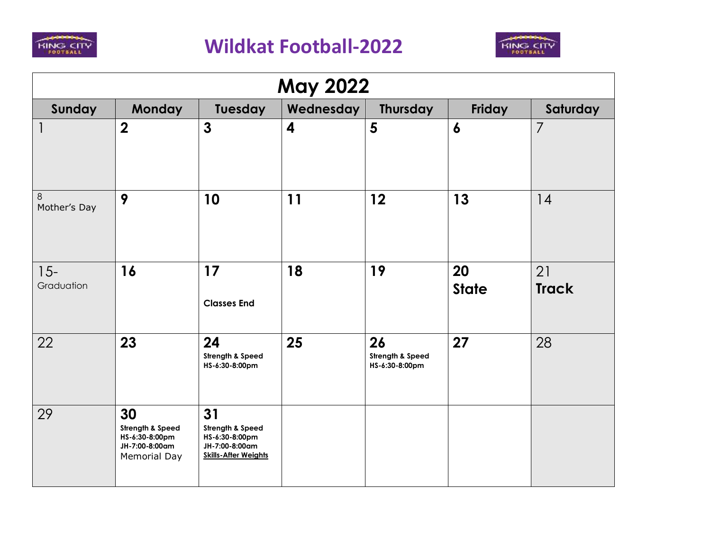



| <b>May 2022</b>      |                                                                                       |                                                                                           |                         |                                          |                    |                    |  |  |
|----------------------|---------------------------------------------------------------------------------------|-------------------------------------------------------------------------------------------|-------------------------|------------------------------------------|--------------------|--------------------|--|--|
| Sunday               | <b>Monday</b>                                                                         | Tuesday                                                                                   | Wednesday               | <b>Thursday</b>                          | Friday             | Saturday           |  |  |
|                      | $\overline{2}$                                                                        | $\mathbf{3}$                                                                              | $\overline{\mathbf{4}}$ | 5                                        | $\boldsymbol{6}$   | $\overline{7}$     |  |  |
| 8<br>Mother's Day    | 9                                                                                     | 10                                                                                        | 11                      | 12                                       | 13                 | 14                 |  |  |
| $15 -$<br>Graduation | 16                                                                                    | 17<br><b>Classes End</b>                                                                  | 18                      | 19                                       | 20<br><b>State</b> | 21<br><b>Track</b> |  |  |
| 22                   | 23                                                                                    | 24<br>Strength & Speed<br>HS-6:30-8:00pm                                                  | 25                      | 26<br>Strength & Speed<br>HS-6:30-8:00pm | 27                 | 28                 |  |  |
| 29                   | 30<br><b>Strength &amp; Speed</b><br>HS-6:30-8:00pm<br>JH-7:00-8:00am<br>Memorial Day | 31<br>Strength & Speed<br>HS-6:30-8:00pm<br>JH-7:00-8:00am<br><b>Skills-After Weights</b> |                         |                                          |                    |                    |  |  |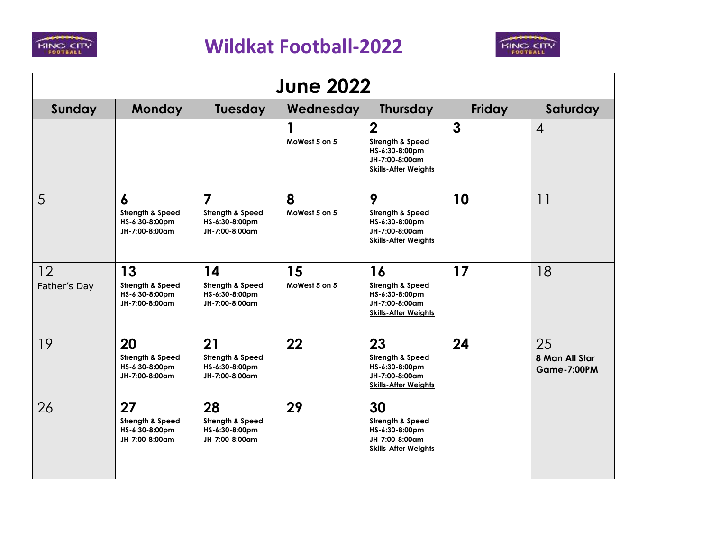



| <b>June 2022</b>   |                                                                                     |                                                                                 |                     |                                                                                                       |              |                                            |  |
|--------------------|-------------------------------------------------------------------------------------|---------------------------------------------------------------------------------|---------------------|-------------------------------------------------------------------------------------------------------|--------------|--------------------------------------------|--|
| Sunday             | <b>Monday</b>                                                                       | Tuesday                                                                         | Wednesday           | <b>Thursday</b>                                                                                       | Friday       | Saturday                                   |  |
|                    |                                                                                     |                                                                                 | MoWest 5 on 5       | $\overline{2}$<br>Strength & Speed<br>HS-6:30-8:00pm<br>JH-7:00-8:00am<br><b>Skills-After Weights</b> | $\mathbf{3}$ | $\overline{4}$                             |  |
| 5                  | $\boldsymbol{6}$<br><b>Strength &amp; Speed</b><br>HS-6:30-8:00pm<br>JH-7:00-8:00am | $\overline{\mathbf{z}}$<br>Strength & Speed<br>HS-6:30-8:00pm<br>JH-7:00-8:00am | 8<br>MoWest 5 on 5  | 9<br><b>Strength &amp; Speed</b><br>HS-6:30-8:00pm<br>JH-7:00-8:00am<br><b>Skills-After Weights</b>   | 10           | 11                                         |  |
| 12<br>Father's Day | 13<br>Strength & Speed<br>HS-6:30-8:00pm<br>JH-7:00-8:00am                          | 14<br>Strength & Speed<br>HS-6:30-8:00pm<br>JH-7:00-8:00am                      | 15<br>MoWest 5 on 5 | 16<br>Strength & Speed<br>HS-6:30-8:00pm<br>JH-7:00-8:00am<br><b>Skills-After Weights</b>             | 17           | 18                                         |  |
| 19                 | 20<br>Strength & Speed<br>HS-6:30-8:00pm<br>JH-7:00-8:00am                          | 21<br>Strength & Speed<br>HS-6:30-8:00pm<br>JH-7:00-8:00am                      | 22                  | 23<br><b>Strength &amp; Speed</b><br>HS-6:30-8:00pm<br>JH-7:00-8:00am<br><b>Skills-After Weights</b>  | 24           | 25<br>8 Man All Star<br><b>Game-7:00PM</b> |  |
| 26                 | 27<br>Strength & Speed<br>HS-6:30-8:00pm<br>JH-7:00-8:00am                          | 28<br>Strength & Speed<br>HS-6:30-8:00pm<br>JH-7:00-8:00am                      | 29                  | 30<br>Strength & Speed<br>HS-6:30-8:00pm<br>JH-7:00-8:00am<br><b>Skills-After Weights</b>             |              |                                            |  |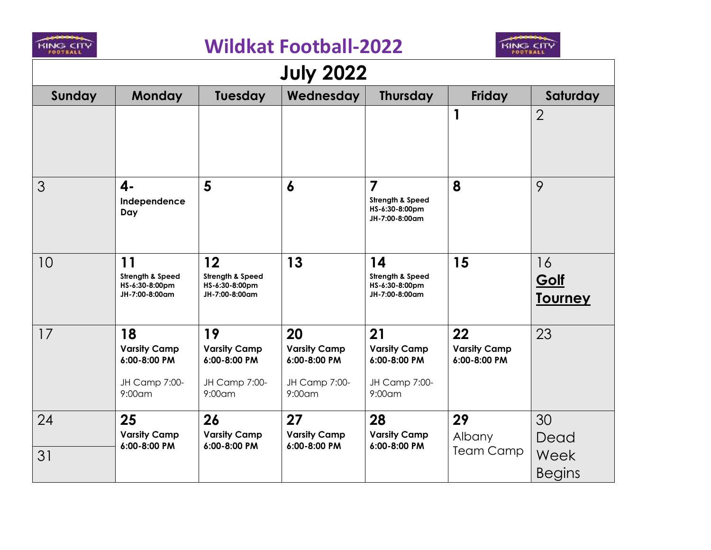

## **Wildkat Football-2022**



| <b>July 2022</b> |                                                                         |                                                                           |                                                                      |                                                                        |                                           |                                     |  |  |
|------------------|-------------------------------------------------------------------------|---------------------------------------------------------------------------|----------------------------------------------------------------------|------------------------------------------------------------------------|-------------------------------------------|-------------------------------------|--|--|
| Sunday           | <b>Monday</b>                                                           | Tuesday                                                                   | Wednesday                                                            | <b>Thursday</b>                                                        | <b>Friday</b>                             | Saturday                            |  |  |
|                  |                                                                         |                                                                           |                                                                      |                                                                        | $\mathbf{1}$                              | $\overline{2}$                      |  |  |
| 3                | $\mathbf{4}$<br>Independence<br>Day                                     | 5                                                                         | $\boldsymbol{6}$                                                     | $\overline{7}$<br>Strength & Speed<br>HS-6:30-8:00pm<br>JH-7:00-8:00am | 8                                         | 9                                   |  |  |
| 10               | 11<br>Strength & Speed<br>HS-6:30-8:00pm<br>JH-7:00-8:00am              | $12 \overline{ }$<br>Strength & Speed<br>HS-6:30-8:00pm<br>JH-7:00-8:00am | 13                                                                   | 14<br>Strength & Speed<br>HS-6:30-8:00pm<br>JH-7:00-8:00am             | 15                                        | 16<br><u>Golf</u><br><u>Tourney</u> |  |  |
| 17               | 18<br><b>Varsity Camp</b><br>6:00-8:00 PM<br>JH Camp 7:00-<br>$9:00$ am | 19<br><b>Varsity Camp</b><br>6:00-8:00 PM<br>JH Camp 7:00-<br>$9:00$ am   | 20<br><b>Varsity Camp</b><br>6:00-8:00 PM<br>JH Camp 7:00-<br>9:00am | 21<br><b>Varsity Camp</b><br>6:00-8:00 PM<br>JH Camp 7:00-<br>9:00am   | 22<br><b>Varsity Camp</b><br>6:00-8:00 PM | 23                                  |  |  |
| 24               | 25<br><b>Varsity Camp</b><br>6:00-8:00 PM                               | 26<br><b>Varsity Camp</b><br>6:00-8:00 PM                                 | 27<br><b>Varsity Camp</b><br>6:00-8:00 PM                            | 28<br><b>Varsity Camp</b><br>6:00-8:00 PM                              | 29<br>Albany                              | 30<br>Dead                          |  |  |
| 31               |                                                                         |                                                                           |                                                                      |                                                                        | <b>Team Camp</b>                          | Week<br><b>Begins</b>               |  |  |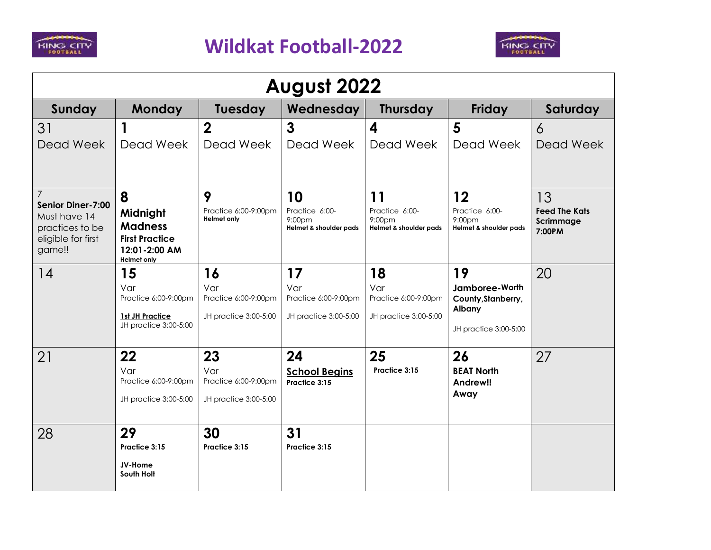



| August 2022                                                                          |                                                                                            |                                                            |                                                            |                                                                |                                                                               |                                             |  |
|--------------------------------------------------------------------------------------|--------------------------------------------------------------------------------------------|------------------------------------------------------------|------------------------------------------------------------|----------------------------------------------------------------|-------------------------------------------------------------------------------|---------------------------------------------|--|
| Sunday                                                                               | <b>Monday</b>                                                                              | Tuesday                                                    | Wednesday                                                  | <b>Thursday</b>                                                | Friday                                                                        | Saturday                                    |  |
| 31                                                                                   | 1                                                                                          | $\boldsymbol{2}$                                           | $\mathbf{3}$                                               | 4                                                              | 5                                                                             | $\overline{6}$                              |  |
| Dead Week                                                                            | Dead Week                                                                                  | Dead Week                                                  | Dead Week                                                  | Dead Week                                                      | Dead Week                                                                     | Dead Week                                   |  |
| $\overline{7}$                                                                       | 8                                                                                          | 9                                                          | 10                                                         | $\begin{array}{c} \n1 \\ \n\end{array}$                        | 12                                                                            | 13                                          |  |
| Senior Diner-7:00<br>Must have 14<br>practices to be<br>eligible for first<br>game!! | Midnight<br><b>Madness</b><br><b>First Practice</b><br>12:01-2:00 AM<br><b>Helmet only</b> | Practice 6:00-9:00pm<br><b>Helmet only</b>                 | Practice 6:00-<br>$9:00$ pm<br>Helmet & shoulder pads      | Practice 6:00-<br>9:00 <sub>pm</sub><br>Helmet & shoulder pads | Practice 6:00-<br>9:00 <sub>pm</sub><br>Helmet & shoulder pads                | <b>Feed The Kats</b><br>Scrimmage<br>7:00PM |  |
| 14                                                                                   | 15<br>Var<br>Practice 6:00-9:00pm<br>1st JH Practice<br>JH practice 3:00-5:00              | 16<br>Var<br>Practice 6:00-9:00pm<br>JH practice 3:00-5:00 | 17<br>Var<br>Practice 6:00-9:00pm<br>JH practice 3:00-5:00 | 18<br>Var<br>Practice 6:00-9:00pm<br>JH practice 3:00-5:00     | 19<br>Jamboree-Worth<br>County, Stanberry,<br>Albany<br>JH practice 3:00-5:00 | 20                                          |  |
| 21                                                                                   | 22<br>Var<br>Practice 6:00-9:00pm<br>JH practice 3:00-5:00                                 | 23<br>Var<br>Practice 6:00-9:00pm<br>JH practice 3:00-5:00 | 24<br><b>School Begins</b><br>Practice 3:15                | 25<br>Practice 3:15                                            | 26<br><b>BEAT North</b><br>Andrew!!<br>Away                                   | 27                                          |  |
| 28                                                                                   | 29<br>Practice 3:15<br>JV-Home<br>South Holt                                               | 30<br>Practice 3:15                                        | 31<br>Practice 3:15                                        |                                                                |                                                                               |                                             |  |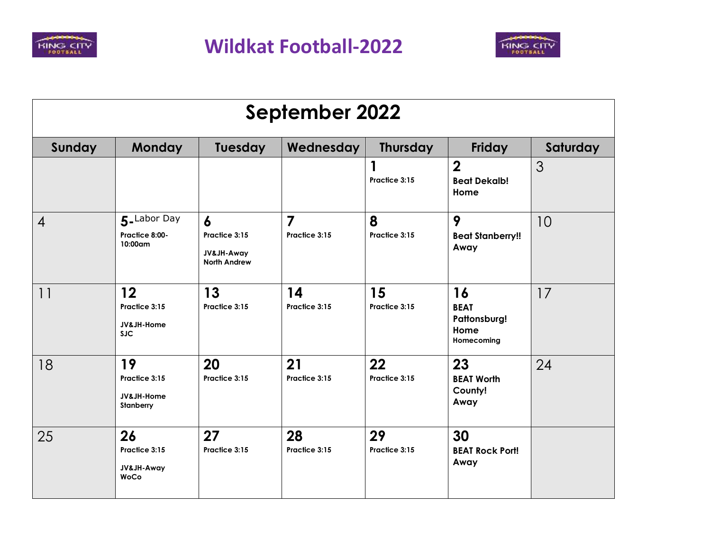



| <b>September 2022</b> |                                                                |                                                         |                     |                     |                                                         |          |  |
|-----------------------|----------------------------------------------------------------|---------------------------------------------------------|---------------------|---------------------|---------------------------------------------------------|----------|--|
| Sunday                | <b>Monday</b>                                                  | Tuesday                                                 | Wednesday           | <b>Thursday</b>     | Friday                                                  | Saturday |  |
|                       |                                                                |                                                         |                     | 1<br>Practice 3:15  | $\overline{2}$<br><b>Beat Dekalb!</b><br>Home           | 3        |  |
| $\overline{4}$        | 5-Labor Day<br>Practice 8:00-<br>$10:00$ am                    | 6<br>Practice 3:15<br>JV&JH-Away<br><b>North Andrew</b> | 7<br>Practice 3:15  | 8<br>Practice 3:15  | 9<br><b>Beat Stanberry!!</b><br>Away                    | 10       |  |
| $  \cdot  $           | $12 \overline{ }$<br>Practice 3:15<br>JV&JH-Home<br><b>SJC</b> | 13<br>Practice 3:15                                     | 14<br>Practice 3:15 | 15<br>Practice 3:15 | 16<br><b>BEAT</b><br>Pattonsburg!<br>Home<br>Homecoming | 17       |  |
| 18                    | 19<br>Practice 3:15<br>JV&JH-Home<br>Stanberry                 | 20<br>Practice 3:15                                     | 21<br>Practice 3:15 | 22<br>Practice 3:15 | 23<br><b>BEAT Worth</b><br>County!<br>Away              | 24       |  |
| 25                    | 26<br>Practice 3:15<br>JV&JH-Away<br><b>WoCo</b>               | 27<br>Practice 3:15                                     | 28<br>Practice 3:15 | 29<br>Practice 3:15 | 30<br><b>BEAT Rock Port!</b><br>Away                    |          |  |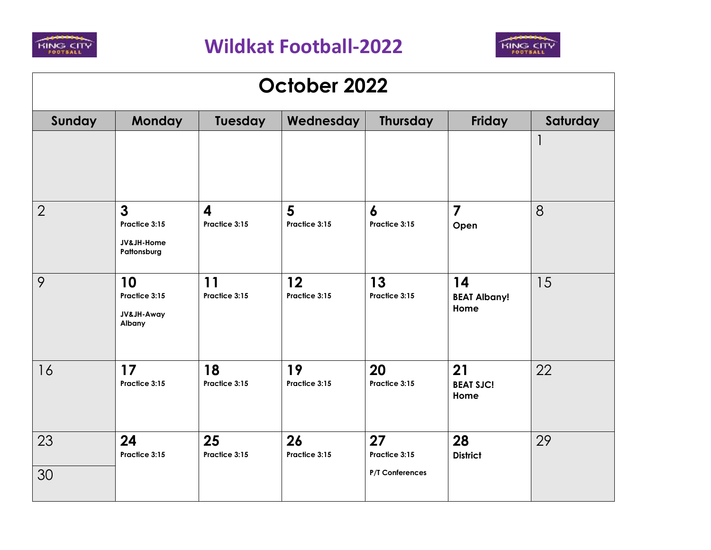



| October 2022   |                                                            |                                   |                     |                                        |                                   |          |  |
|----------------|------------------------------------------------------------|-----------------------------------|---------------------|----------------------------------------|-----------------------------------|----------|--|
| Sunday         | <b>Monday</b>                                              | Tuesday                           | Wednesday           | <b>Thursday</b>                        | Friday                            | Saturday |  |
|                |                                                            |                                   |                     |                                        |                                   |          |  |
| $\overline{2}$ | $\mathbf{3}$<br>Practice 3:15<br>JV&JH-Home<br>Pattonsburg | $\boldsymbol{4}$<br>Practice 3:15 | 5<br>Practice 3:15  | $\boldsymbol{6}$<br>Practice 3:15      | $\overline{7}$<br>Open            | 8        |  |
| 9              | 10<br>Practice 3:15<br>JV&JH-Away<br>Albany                | 11<br>Practice 3:15               | 12<br>Practice 3:15 | 13<br>Practice 3:15                    | 14<br><b>BEAT Albany!</b><br>Home | 15       |  |
| 16             | 17<br>Practice 3:15                                        | 18<br>Practice 3:15               | 19<br>Practice 3:15 | 20<br>Practice 3:15                    | 21<br><b>BEAT SJC!</b><br>Home    | 22       |  |
| 23<br>30       | 24<br>Practice 3:15                                        | 25<br>Practice 3:15               | 26<br>Practice 3:15 | 27<br>Practice 3:15<br>P/T Conferences | 28<br><b>District</b>             | 29       |  |